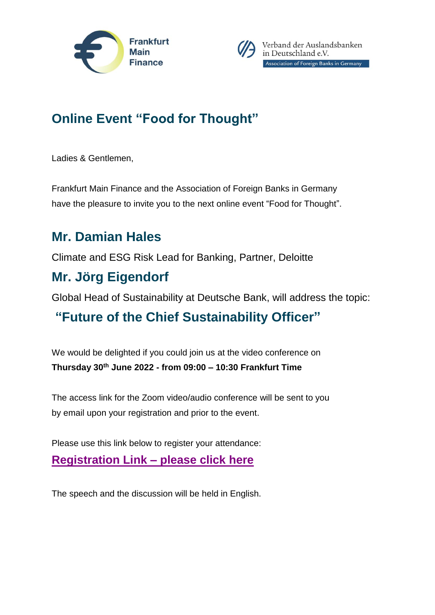



Verband der Auslandsbanken in Deutschland e.V. Association of Foreign Banks in Germany

# **Online Event "Food for Thought"**

Ladies & Gentlemen,

Frankfurt Main Finance and the Association of Foreign Banks in Germany have the pleasure to invite you to the next online event "Food for Thought".

#### **Mr. Damian Hales**

Climate and ESG Risk Lead for Banking, Partner, Deloitte

### **Mr. Jörg Eigendorf**

Global Head of Sustainability at Deutsche Bank, will address the topic:

# **"Future of the Chief Sustainability Officer"**

We would be delighted if you could join us at the video conference on **Thursday 30th June 2022 - from 09:00 – 10:30 Frankfurt Time**

The access link for the Zoom video/audio conference will be sent to you by email upon your registration and prior to the event.

Please use this link below to register your attendance:

**[Registration Link –](https://www.eventbrite.de/e/food-for-thought-future-of-the-chief-sustainability-officer-tickets-350458750557) please click here**

The speech and the discussion will be held in English.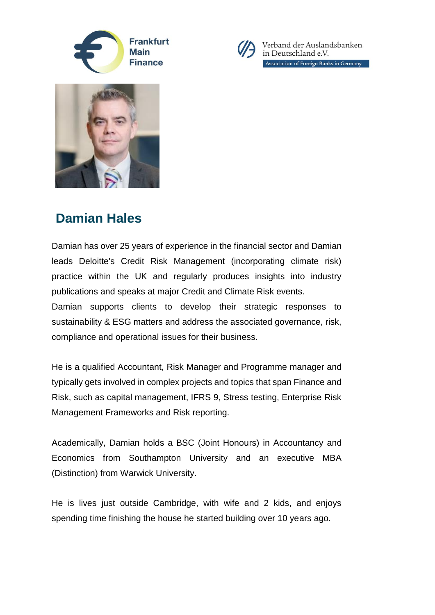



Verband der Auslandsbanken in Deutschland e.V. Association of Foreign Banks in Germany



### **Damian Hales**

Damian has over 25 years of experience in the financial sector and Damian leads Deloitte's Credit Risk Management (incorporating climate risk) practice within the UK and regularly produces insights into industry publications and speaks at major Credit and Climate Risk events. Damian supports clients to develop their strategic responses to sustainability & ESG matters and address the associated governance, risk,

compliance and operational issues for their business.

He is a qualified Accountant, Risk Manager and Programme manager and typically gets involved in complex projects and topics that span Finance and Risk, such as capital management, IFRS 9, Stress testing, Enterprise Risk Management Frameworks and Risk reporting.

Academically, Damian holds a BSC (Joint Honours) in Accountancy and Economics from Southampton University and an executive MBA (Distinction) from Warwick University.

He is lives just outside Cambridge, with wife and 2 kids, and enjoys spending time finishing the house he started building over 10 years ago.